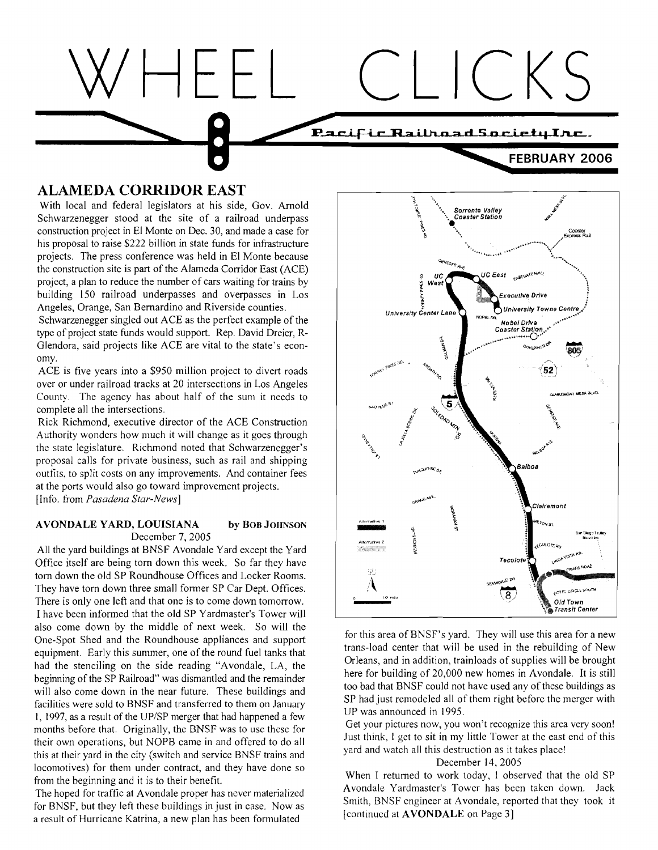

# **ALAMEDA CORRIDOR EAST**

With local and federal legislators at his side, Gov. Arnold Schwarzenegger stood at the site of a railroad underpass construction project in El Monte on Dec. 30, and made a case for his proposal to raise \$222 billion in state funds for infrastructure projects. The press conference was held in El Monte because the construction site is part of the Alameda Corridor East (ACE) project, a plan to reduce the number of cars waiting for trains by building 150 railroad underpasses and overpasses in Los Angeles, Orange, San Bemardino and Riverside counties.

Schwarzenegger singled out ACE as the perfect example of the type of project state funds would support. Rep. David Dreier, R-Glendora, said projects like ACE are vital to the state's economy.

ACE is five years into a \$950 million project to divert roads over or under railroad tracks at 20 intersections in Los Angeles County. The agency has about half of the sum it needs to complete all the intersections.

Rick Richmond, executive director of the ACE Construction Authority wonders how much it will change as it goes through the state legislature. Richmond noted that Schwarzenegger's proposal calls for prikate business, such as rail and shipping outfits, to split costs on any improvements. And container fees at the ports would also go toward improvement projects. [Info. from *Pasadena Star-News*]

### **AVONDALE YARD, LOUISIANA** by BOB JOHNSON December 7, 2005

All the yard buildings at BNSF Avondale Yard except the Yard Office itself are being tom down this week. So far they have tom down the old SP Roundhouse Offices and Locker Rooms. They have torn down three small former SP Car Dept. Offices. There is only one left and that one is to come down tomorrow. I have been informed that the old SP Yardmaster's Tower will also come down by the middle of next week. So will the One-Spot Shed and the Roundhouse appliances and support equipment. Early this summer, one of the round fuel tanks that had the stenciling on the side reading "Avondale, LA, the beginning of the SP Railroad" was dismantled and the remainder will also come down in the near future. These buildings and facilities were sold to BNSF and transferred to them on January 1, 1997, as a result of the UP/SP merger that had happened a few months before that. Originally, the BNSF was to use these for their own operations, but NOPR came in and offered to do all this at their yard in the city (switch and service BNSF trains and locomotives) for them under contract, and they have done so from the beginning and it is to their benefit.

The hoped for traffic at Avondale proper has never materialized for BNSF, but they left these buildings in just in case. Now as a result of Hurricane Katrina, a new plan has been formulated



for this area of BNSF's yard. They will use this area for a new trans-load center that will be used in the rebuilding of New Orleans, and in addition, trainloads of supplies will be brought here for building of 20,000 new homes in Avondale. It is still too bad that BNSF could not have used any of these buildings as SP had just remodeled all of them right before the merger with UP was announced in 1995.

Get your pictures now, you won't recognize this area very soon! Just think, I get to sit in my little Tower at the east end of this yard and watch all this destruction as it takes place!

## December 14,2005

When I returned to work today, 1 observed that the old SP Avondale Yardmaster's Tower has been taken down. Jack Smith, BNSF engineer at Avondale, reported that they took it [continued at **AVONDALE** on Page *31*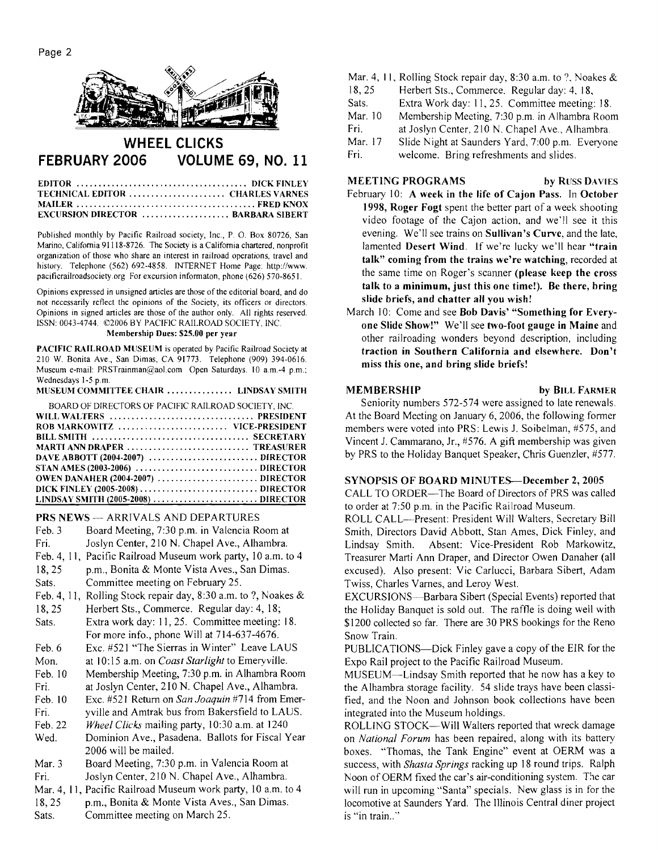

# **WHEEL CLICKS FEBRUARY 2006 VOLUME 69, NO. 11**

| TECHNICAL EDITOR  CHARLES VARNES   |  |
|------------------------------------|--|
|                                    |  |
| EXCURSION DIRECTOR  BARBARA SIBERT |  |

Published monthly by Pacific Railroad society, Inc., P. 0. Box 80726. San Marino. California 91 118-8726. The Society is a California chartered, nonprofit organization of those who share an interest in railroad operations, travel and history. Telephone (562) 692-4858. INTERNET Home Page: http://www. **pac~ficrailroadsociety.org** For excursion informaton, phone (626) 570-8651.

Opinions expressed in unsigned articles are those of the editorial board, and do not necessarily reflect the opinions of the Society, its officers or directors. Opinions in signed articles are those of the author only. All rights reserved. 1SSN: 0043-4744. 02006 BY PACIFIC RAILROAD SOCIETY, INC.

#### **Membership Dues: S25.00 per year**

PACIFIC RAILROAD MUSEUM is operated by Pacific Railroad Society at 210 W. Bonita Ave., San Dimas, CA 91773. Telephone (909) 394-0616. Museum e-mail: PRSTrainman@aol.com Open Saturdays. 10 a.m.-4 p.m.; Wednesdays 1-5 p.m.

**MUSEUM COMMITTEE CHAIR** ............... **LINDSAY SMITH** 

| BOARD OF DIRECTORS OF PACIFIC RAILROAD SOCIETY. INC. |  |
|------------------------------------------------------|--|
|                                                      |  |
| ROB MARKOWITZ  VICE-PRESIDENT                        |  |
|                                                      |  |
| MARTI ANN DRAPER  TREASURER                          |  |
|                                                      |  |
|                                                      |  |
| OWEN DANAHER (2004-2007) DIRECTOR                    |  |
|                                                      |  |
| LINDSAY SMITH (2005-2008) DIRECTOR                   |  |

#### **PRS NEWS** - ARRIVALS AND DEPARTURES

|        | $\blacksquare$                                               |
|--------|--------------------------------------------------------------|
| Feb. 3 | Board Meeting, 7:30 p.m. in Valencia Room at                 |
| Fri.   | Joslyn Center, 210 N. Chapel Ave., Alhambra.                 |
|        | Feb. 4, 11, Pacific Railroad Museum work party, 10 a.m. to 4 |
|        |                                                              |

18,25 p.m., Bonita & Monte Vista Aves., San Dimas. Sats. Committee meeting on February 25.

- Feb. 4, 11, Rolling Stock repair day, 8:30 a.m. to ?, Noakes &
- 18,25 Herbert Sts., Commerce. Regular day: 4, 18; Sats. Extra work day: 11, 25. Committee meeting: 18.
- For more info., phone Will at 714-637-4676. Feb. 6 Exc. #521 "The Sierras in Winter" Leave LAUS
- Mon. at 10: 15 a.m. on *Coast Starlight* to Emeryville.
- Feb. 10 Membership Meeting, 7:30 p.m. in Alhambra Room
- Fri. at Joslyn Center, 210 N. Chapel Ave., Alhambra. Feb. 10 Exc. #52 1 Return on *Sun Joaquin* #714 from Emer-
- Fri. yville and Amtrak bus from Bakersfield to LAUS.
- Feb. 22 *Wheel Clicks* mailing party, 10:30 a.m. at 1240
- Wed. Dominion Ave., Pasadena. Ballots for Fiscal Year 2006 will be mailed.
- Mar. 3 Board Meeting, 7:30 p.m. in Valencia Room at Fri. Joslyn Center, 210 N. Chapel Ave., Alhambra.
- Mar. 4, 11, Pacific Railroad Museum work party, 10 a.m. to 4
- 18,25 p.m., Bonita & Monte Vista Aves., San Dimas.
- Sats. Committee meeting on March 25.
- Mar. 4, 11, Rolling Stock repair day, 8:30 a.m. to ?, Noakes & 18, 25 Herbert Sts., Commerce. Regular day: 4, 18,
- 18, 25 Herbert Sts., Commerce. Regular day: 4, 18, Sats. Extra Work day: 11, 25. Committee meeting:
- Sats. Extra Work day: 11, 25. Committee meeting: 18.<br>Mar. 10 Membership Meeting. 7:30 p.m. in Alhambra Root
- Membership Meeting, 7:30 p.m. in Alhambra Room
- Fri. at Joslyn Center, 210 N. Chapel Ave., Alhambra.
- Mar. 17 Slide Night at Saunders Yard, 7:00 p.m. Everyone<br>Fri. welcome. Bring refreshments and slides.
- welcome. Bring refreshments and slides.

**MEETING PROGRAMS** by RUSS DAVIES

- February 10: **A week in the life of Cajon Pass.** In **October 1998, Roger Fogt** spent the better part of a week shooting video footage of the Cajon action, and we'll see it this evening. We'll see trains on **Sullivan's Curve,** and the late, lamented **Desert Wind.** If we're lucky we'll hear **"train talk" coming from the trains we're watching,** recorded at the same time on Roger's scanner **(please keep the cross talk to a minimum, just this one time!). Be there, bring slide briefs, and chatter all you wish!**
- March 10: Come and see **Bob Davis' "Something for Everyone Slide Show!"** We'll see **two-foot gauge in Maine** and other railroading wonders beyond description, including **traction in Southern California and elsewhere. Don't miss this one, and bring slide briefs!**

**MEMBERSHIP** by BILL FARMER

Seniority numbers 572-574 were assigned to late renewals. At the Board Meeting on January 6,2006, the following former members were voted into PRS: Lewis J. Soibelman, #575, and Vincent J. Cammarano, Jr., #576. A gift membership was given by PRS to the Holiday Banquet Speaker, Chris Guenzler, #577.

#### **SYNOPSIS OF BOARD MINUTES-December 2, 2005**

CALL TO ORDER-The Board of Directors of PRS was called to order at 750 p.m. in the Pacific Railroad Museum.

ROLL CALL-Present: President Will Walters, Secretary Bill Smith, Directors David Abbott, Stan Ames, Dick Finley, and Lindsay Smith. Absent: Vice-President Rob Markowitz, Treasurer Marti Ann Draper, and Director Owen Danaher (all excused). Also present: Vic Carlucci, Barbara Sibert, Adam Twiss, Charles Varnes, and Leroy West.

EXCURSIONS-Barbara Sibert (Special Events) reported that the Holiday Banquet is sold out. The raffle is doing well with \$1200 collected so far. There are 30 PRS bookings for the Reno Snow Train.

PUBLICATlONS-Dick Finley gave a copy of the EIR for the Expo Rail project to the Pacific Railroad Museum.

MUSEUM-Lindsay Smith reported that he now has a key to the Alhambra storage facility. 54 slide trays have been classified, and the Noon and Johnson book collections have been integrated into the Museum holdings.

ROLLING STOCK--Will Walters reported that wreck damage on *National Forum* has been repaired, along with its battery boxes. "Thomas, the Tank Engine" event at OERM was a success, with *Shasta Springs* racking up 18 round trips. Ralph Noon of OERM fixed the car's air-conditioning system. The car will run in upcoming "Santa" specials. New glass is in for the locomotive at Saunders Yard. The Illinois Central diner project is "in train.."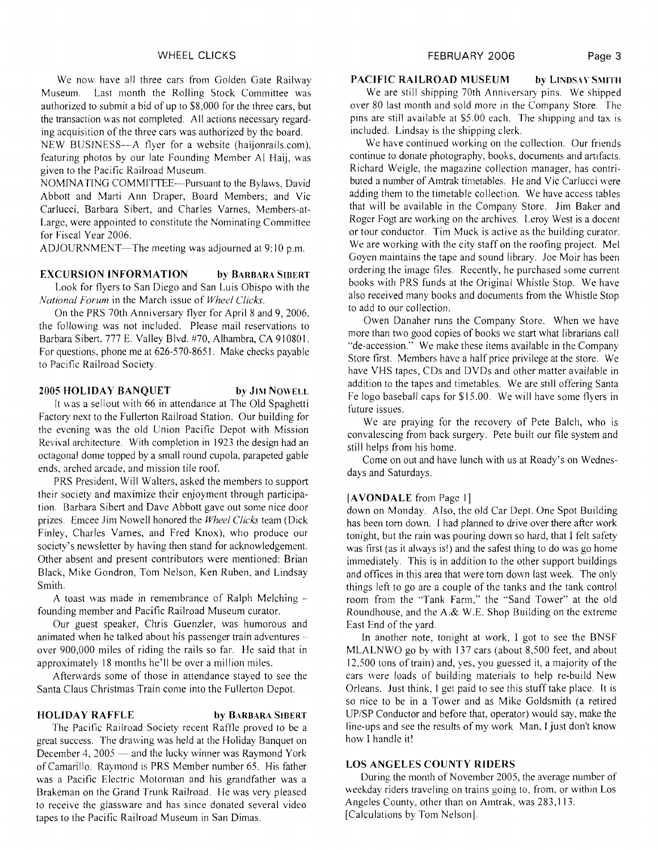# WHEEL CLICKS **FEBRUARY 2006** Page 3

We now have all three cars from Golden Gate Railway Museum. Last month the Rolling Stock Committee was authorized to submit a bid of up to \$8,000 for the three cars, but the transaction was not completed. All actions necessary regarding acquisition of the three cars was authorized by the board.

NEW BUSINESS-A flyer for a website (haijonrails.com), featuring photos by our late Founding Member Al Haij, was given to the Pacific Railroad Museum.

NOMINATING COMMITTEE--Pursuant to the Bylaws, David Abbott and Marti Ann Draper, Board Members; and Vic Carlucci, Barbara Sibert, and Charles Varnes, Members-at-Large, were appointed to constitute the Nominating Committee for Fiscal Year 2006.

ADJOURNMENT-The meeting was adjourned at 9:10 p.m.

# **EXCURSION INFORMATION by BARBARA SIBERT**

Look for flyers to San Diego and San Luis Obispo with the *National Forum* in the March issue of *Wheel Clicks*.

On the PRS 70th Anniversary flyer for April 8 and 9, 2006, the following was not included. Please mail reservations to Barbara Sibert. 777 E. Valley Blvd. #70, Alhambra, CA 910801. For questions, phone me at 626-570-865 1. Make checks payable to Pacific Railroad Society.

# **ZOO5 HOLIDAY BANQUET by JIM NOWELL**

It was a sellout with 66 in attendance at The Old Spaghetti Factory next to the Fullerton Railroad Station. Our building for the evening was the old Union Pacific Depot with Mission Revival architecture. With completion in 1923 the design had an octagonal dome topped by a small round cupola, parapeted gable ends. arched arcade, and mission tile roof.

PRS President. Will Waiters, asked the members to support their society and maximize their enjoyment through participation. Barbara Sibert and Dave Abbott gave out some nice door prizes. Emcee Jim Nowell honored the *Wheel Clicks* team (Dick Finley, Charles Varnes, and Fred Knox), who produce our society's newsletter by having then stand for acknowledgement. Other absent and present contributors were mentioned: Brian Black, Mike Gondron, Tom Nelson, Ken Ruben, and Lindsay Smith.

A toast was made in remembrance of Ralph Melching founding member and Pacific Railroad Museum curator.

Our guest speaker, Chris Guenzler, was humorous and animated when he talked about his passenger train adventures  $$ over 900,000 niiles of riding the rails so far. He said that in approximately 18 months he'll be over a million miles.

Afterwards some of those in attendance stayed to see the Santa Claus Christmas Train come into the Fullerton Depot.

**HOLIDAY RAFFLE by BARBARA SIBERT** 

The Pacific Railroad Society recent Raffle proved to be a great success. The drawing was held at the Holiday Banquet on December 4, 2005 - and the lucky winner was Raymond York of Camarillo. Raymond is PRS Member number 65. His father was a Pacific Electric Motorman and his grandfather was a Brakeman on the Grand Trunk Railroad. He was very pleased to receive the glassware and has since donated several video tapes to the Pacific Railroad Museum in San Dimas.

#### **PACIFIC RAILROAD MUSEUM by LINDSAY SMITH**

We are still shipping 70th Anniversary pins. We shipped over 80 last month and sold more in the Company Store. The pins are still available at \$5.00 each. The shipping and tax is included. Lindsay is the shipping clerk.

We have continued working on the collection. Our friends continue to donate photography, books, documents and artifacts. Richard Weigle, the magazine collection manager, has contributed a number of Amtrak timetables. He and Vic Carlucci were adding them to the timetable collection. We have access tables that will be available in the Company Store. Jim Baker and Roger Fogt are working on the archives. Leroy West is a docent or tour conductor. Tim Muck is active as the building curator. We are working with the city staff on the roofing project. Mel Goyen maintains the tape and sound library. Joe Moir has been ordering the image files. Recently, he purchased some current books with PRS funds at the Original Whistle Stop. We have also received many books and documents from the Whistle Stop to add to our collection.

Owen Danaher runs the Company Store. When we have more than two good copies of books we start what librarians call "de-accession." We make these items available in the Company Store first. Members have a half price privilege at the store. We have VHS tapes, CDs and DVDs and other matter available in addition to the tapes and timetables. We are still offering Santa Fe logo baseball caps for \$15.00. We will have some flyers in future issues.

We are praying for the recovery of Pete Balch, who is convalescing from back surgery. Pete built our file system and still helps from his home.

Come on out and have lunch with us at Roady's on Wednesdays and Saturdays.

## **(AVONDALE** from Page I]

down on Monday. Also, the old Car Dept. One Spot Building has been tom down. I had planned to drive over there after work tonight, but the rain was pouring down so hard, that I felt safety was first (as it always is!) and the safest thing to do was go home immediately. This is in addition to the other support buildings and offices in this area that were tom down last week. The only things left to go are a couple of the tanks and the tank control room from the "Tank Farm," the "Sand Tower" at the old Roundhouse, and the A,& W.E. Shop Building on the extreme East End of the yard.

In another note, tonight at work, I got to see the BNSF MLALNWO go by with 137 cars (about 8,500 feet, and about  $12,500$  tons of train) and, yes, you guessed it, a majority of the cars were loads of building materials to help re-build New Orleans. Just think, 1 get paid to see this stuff take place. It is so nice to be in a Touer and as Mike Goldsmith (a retired UP/SP Conductor and before that, operator) would say, make the line-ups and see the results of my work Man. I just don't know how I handle it!

### **LOS ANGELES COUNTY RIDERS**

During the month of November 2005, the average number of weekday riders traveling on trains going to, from. or within Los Angeles County, other than on Amtrak, was 283,113. [Calculations by Tom Nelson].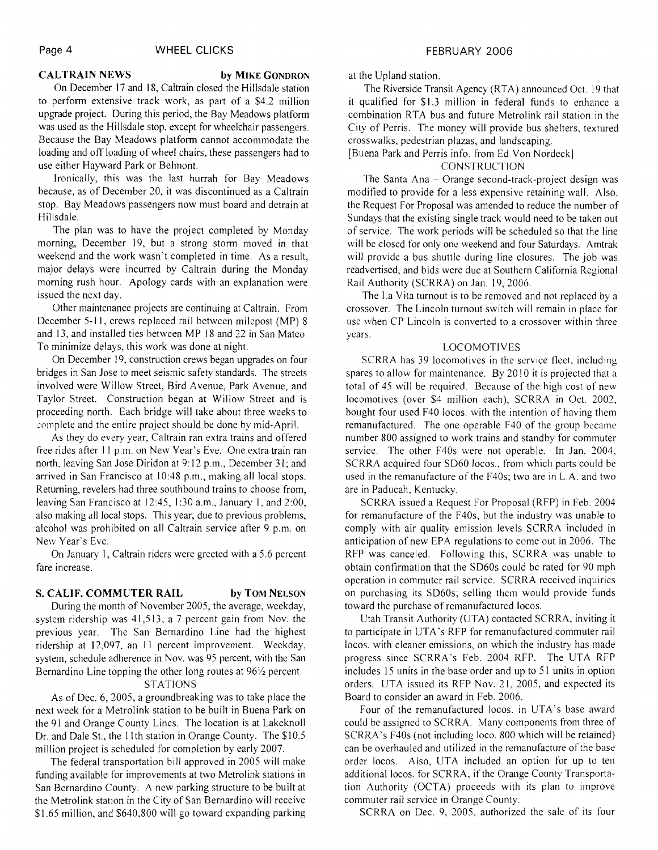#### **CALTRAIN NEWS by MIKE GONDRON**

On December 17 and 18, Caltrain closed the Hillsdale station to perform extensive track work, as part of a \$4.2 million upgrade project. During this period, the Bay Meadows platform was used as the Hillsdale stop, except for wheelchair passengers. Because the Bay Meadows platform cannot accommodate the loading and off loading of wheel chairs, these passengers had to use either Hayward Park or Belmont.

Ironically, this was the last hurrah for Bay Meadows because, as of December 20, it was discontinued as a Caltrain stop. Bay Meadows passengers now must board and detrain at Hillsdale

The plan was to have the project completed by Monday morning, December 19, but a strong storm moved in that weekend and the work wasn't completed in time. As a result, major delays were incurred by Caltrain during the Monday morning rush hour. Apology cards with an explanation were issued the next day.

Other maintenance projects are continuing at Caltrain. From December 5-11, crews replaced rail between milepost (MP) 8 and 13, and installed ties between MP 18 and 22 in San Mateo To minimize delays. this work was done at night.

On December 19. construction crews began upgrades on four bridges in San Jose to meet seismic safety standards. The streets involved were Willow Street, Bird Avenue, Park Avenue, and Taylor Street. Construction began at Willow Street and is proceeding north. Each bridge will take about three weeks to :omplete and the entire project should be done by mid-April.

As they do every year, Caltrain ran extra trains and offered free rides after 11 p.m. on New Year's Eve. One extra train ran north. leaving San Jose Diridon at 9: 12 p.m., December 3 1; and arrived in San Francisco at 10:48 p.m., making all local stops. Returning, revelers had three southbound trains to choose from, leaving San Francisco at 12:45, 1.30 a.m., January 1, and 2:00, also making all local stops. This year, due to previous problems, alcohol was prohibited on all Caltrain service after 9 p.m. on Nen Year's Eve.

On January 1, Caltrain riders were greeted with a 5.6 percent fare increase.

#### **S. CALIF. COMMUTER RAIL by TOM NELSON**

During the month of November 2005, the average, weekday, system ridership was 41,513, a 7 percent gain from Nov. the previous year. The San Bernardino Line had the highest ridership at 12,097, an 11 percent improvement. Weekday, system, schedule adherence in Nov. was 95 percent, with the San Bemardino Line topping the other long routes at 96% percent.

# **STATIONS**

As of Dec. 6,2005, a groundbreaking was to take place the next week for a Metrolink station to be built in Buena Park on the 91 and Orange County Lines. The location is at Lakeknoll Dr. and Dale St., the 1 lth station in Orange County. The \$10.5 million project is scheduled for completion by early 2007.

The federal transportation bill approved in 2005 will make funding available for improvements at two Metrolink stations in San Bernardino County. A new parking structure to be built at the Metrolink station in the City of San Bernardino will receive \$1.65 million, and \$640,800 will go toward expanding parking at the Upland station.

The Riverside Transit Agency (RTA) announced Oct. 19 that it qualified for \$1.3 million in federal funds to enhance a combination RTA bus and future Metrolink rail station in the City of Perris. The money will provide bus shelters, textured crosswalks. pedestrian plazas, and landscaping.

[Buena Park and Perris info. from Ed Von Nordeck]

# **CONSTRUCTION**

The Santa Ana - Orange second-track-project design was modified to provide for a less expensive retaining wall. Also. the Request For Proposal was amended to reduce the number of Sundays that the existing single track would need to be taken out of service. The work periods will be scheduled so that the line will be closed for only one weekend and four Saturdays. Amtrak will provide a bus shuttle during line closures. The job was readvertised, and bids were due at Southern California Regional Rail Authority (SCRRA) on Jan. 19, 2006.

The La Vita turnout is to be removed and not replaced by a crossover. The Lincoln turnout switch will remain in place for use when CP Lincoln is converted to a crossover within three years.

#### LOCOMOTIVES

SCRRA has 39 locomotives in the service fleet. including spares to allow for maintenance. By 2010 it is projected that a total of 45 will be required. Because of the high cost of new locomotives (over \$4 million each), SCRRA in Oct. 2002, bought four used F40 locos. with the intention of having them remanufactured. The one operable F40 of the group became number 800 assigned to work trains and standby for commuter service. The other F40s were not operable. In Jan. 2004. SCRRA acquired four SD60 locos., from which parts could be used in the remanufacture of the F40s; two are in L.A. and two are in Paducah. Kentucky.

SCRRA issued a Request For Proposal (RFP) in Feb. 2004 for remanufacture of the F40s, but the industry was unable to comply with air quality emission levels SCRRA included in anticipation of new EPA regulations to come out in 2006. The RFP was canceled. Following this, SCRRA was unable to obtain confirmation that the SD60s could be rated for 90 mph operation in commuter rail service. SCRRA received inquiries on purchasing its SD60s; selling them would provide funds toward the purchase of remanufactured locos.

Utah Transit Authority (UTA) contacted SCRRA. inviting it to participate in UTA's RFP for remanufactured commuter rail locos. with cleaner emissions, on which the industry has made progress since SCRRA's Feb. 2004 RFP. The UTA RFP includes 15 units in the base order and up to 51 units in option orders. UTA issued its RFP Nov. 2 1, 2005, and expected its Board to consider an award in Feb. 2006.

Four of the remanufactured locos. in UTA's base award could be assigned to SCRRA. Many components from three of SCRRA's F40s (not including loco. 800 which will be retained) can be overhauled and utilized in the remanufacture of the base order locos. Also, UTA included an option for up to ten additional locos. for SCRRA, if the Orange County Transportation Authority (OCTA) proceeds with its plan to improve commuter rail service in Orange County.

SCRRA on Dec. 9, 2005, authorized the sale of its four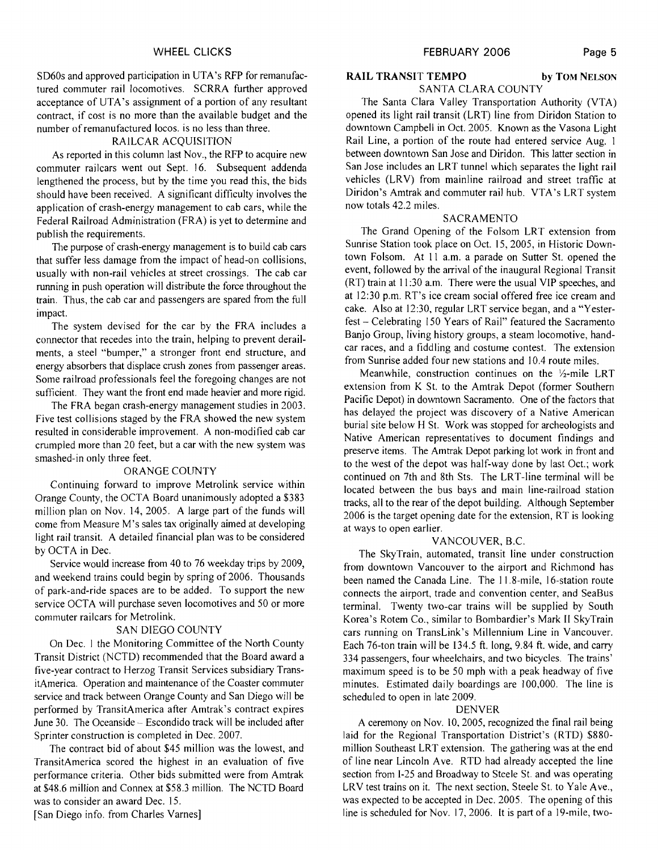SD60s and approved participation in UTA's RFP for remanufactured commuter rail locomotives. SCRRA further approved acceptance of UTA's assignment of a portion of any resultant contract, if cost is no more than the available budget and the number of remanufactured locos. is no less than three.

# RAILCAR ACQUISITION

As reported in this column last Nov., the RFP to acquire new commuter railcars went out Sept. 16. Subsequent addenda lengthened the process, but by the time you read this, the bids should have been received. A significant difficulty involves the application of crash-energy management to cab cars, while the Federal Railroad Administration (FRA) is yet to determine and publish the requirements.

The purpose of crash-energy management is to build cab cars that suffer less damage from the impact of head-on collisions, usually with non-rail vehicles at street crossings. The cab car running in push operation will distribute the force throughout the train. Thus, the cab car and passengers are spared from the full impact.

The system devised for the car by the FRA includes a connector that recedes into the train, helping to prevent derailments, a steel "bumper." a stronger front end structure, and energy absorbers that displace crush zones from passenger areas. Some railroad professionals feel the foregoing changes are not sufficient. They want the front end made heavier and more rigid.

The FRA began crash-energy management studies in 2003. Five test collisions staged by the FRA showed the new system resulted in considerable improvement. A non-modified cab car crumpled more than 20 feet, but a car with the new system was smashed-in only three feet.

#### ORANGE COUNTY

Continuing forward to improve Metrolink service within Orange County, the OCTA Board unanimously adopted a \$383 million plan on Nov. 14, 2005. A large part of the funds will come from Measure M's sales tax originally aimed at developing light rail transit. A detailed financial plan was to be considered by OCTA in Dec.

Service would increase from 40 to 76 weekday trips by 2009, and weekend trains could begin by spring of 2006. Thousands of park-and-ride spaces are to be added. To support the new service OCTA will purchase seven locomotives and 50 or more commuter railcars for Metrolink.

#### SAN DIEGO COUNTY

On Dec. 1 the Monitoring Committee of the North County Transit District (NCTD) recommended that the Board award a five-year contract to Herzog Transit Services subsidiary TransitAmerica. Operation and maintenance of the Coaster commuter service and track between Orange County and San Diego will be performed by TransitAmerica after Amtrak's contract expires June 30. The Oceanside - Escondido track will be included after Sprinter construction is completed in Dec. 2007.

The contract bid of about \$45 million was the lowest, and TransitAmerica scored the highest in an evaluation of five performance criteria. Other bids submitted were from Amtrak at \$48.6 million and Connex at \$58.3 million. The NCTD Board was to consider an award Dec. 15.

[San Diego info. from Charles Varnes]

#### RAIL TRANSIT TEMPO by TOM NELSON SANTA CLARA COUNTY

now totals 42.2 miles.

The Santa Clara Valley Transportation Authority (VTA) opened its light rail transit (LRT) line from Diridon Station to downtown Campbell in Oct. 2005. Known as the Vasona Light Rail Line, a portion of the route had entered service Aug. 1 between downtown San Jose and Diridon. This latter section in San Jose includes an LRT tunnel which separates the light rail

#### SACRAMENTO

vehicles (LRV) from mainline railroad and street traffic at Diridon's Amtrak and commuter rail hub. VTA's LRT system

The Grand Opening of the Folsom LRT extension from Sunrise Station took place on Oct. 15,2005, in Historic Downtown Folsom. At 11 a.m. a parade on Sutter St. opened the event, followed by the arrival of the inaugural Regional Transit (RT) train at 11:30 a.m. There were the usual VIP speeches, and at 12:30 p.m. RT's ice cream social offered free ice cream and cake. Also at 12:30, regular LRT service began, and a "Yesterfest - Celebrating 150 Years of Rail" featured the Sacramento Banjo Group, living history groups, a steam locomotive, handcar races, and a fiddling and costume contest. The extension from Sunrise added four new stations and 10.4 route miles.

Meanwhile, construction continues on the 1/2-mile LRT extension from K St. to the Amtrak Depot (former Southern Pacific Depot) in downtown Sacramento. One of the factors that has delayed the project was discovery of a Native American burial site below H St. Work was stopped for archeologists and Native American representatives to document findings and preserve items. The Amtrak Depot parking lot work in front and to the west of the depot was half-way done by last Oct.; work continued on 7th and 8th Sts. The LRT-line terminal will be located between the bus bays and main line-railroad station tracks, all to the rear of the depot building. Although September 2006 is the target opening date for the extension, RT is looking at ways to open earlier.

#### VANCOUVER, B.C.

The SkyTrain, automated, transit line under construction from downtown Vancouver to the airport and Richmond has been named the Canada Line. The 11.8-mile, 16-station route connects the airport, trade and convention center, and SeaBus terminal. Twenty two-car trains will be supplied by South Korea's Rotem Co., similar to Bombardier's Mark 11 SkyTrain cars running on TransLink's Millennium Line in Vancouver. Each 76-ton train will be 134.5 ft, long, 9.84 ft. wide, and carry 334 passengers, four wheelchairs, and two bicycles. The trains' maximum speed is to be 50 mph with a peak headway of five minutes. Estimated daily boardings are 100,000. The line is scheduled to open in late 2009.

#### DENVER

A ceremony on Nov. 10,2005, recognized the final rail being laid for the Regional Transportation District's (RTD) \$880 million Southeast LRT extension. The gathering was at the end of line near Lincoln Ave. RTD had already accepted the line section from 1-25 and Broadway to Steele St. and was operating LRV test trains on it. The next section, Steele St. to Yale Ave., was expected to be accepted in Dec. 2005. The opening of this line is scheduled for Nov. 17,2006. It is part of a 19-mile, two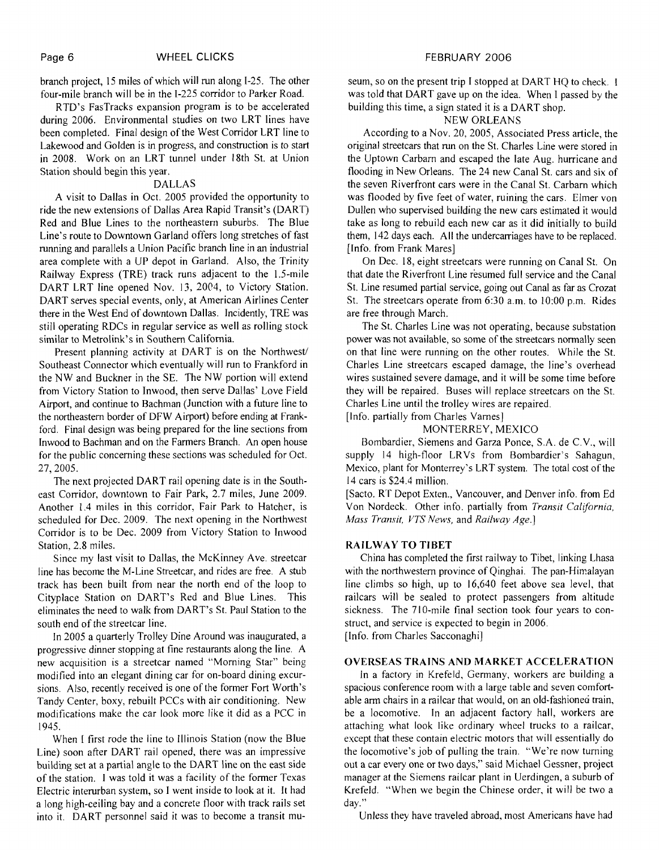branch project, 15 miles of which will run along 1-25, The other four-mile branch will be in the 1-225 corridor to Parker Road.

RTD's FasTracks expansion program is to be accelerated during 2006. Environmental studies on two LRT lines have been completed. Final design of the West Corridor LRT line to Lakewood and Golden is in progress, and construction is to start in 2008. Work on an LRT tunnel under 18th St. at Union Station should begin this year.

#### DALLAS

A visit to Dallas in Oct. 2005 provided the opportunity to ride the new extensions of Dallas Area Rapid Transit's (DART) Red and Blue Lines to the northeastern suburbs. The Blue Line's route to Downtown Garland offers long stretches of fast running and parallels a Union Pacific branch line in an industrial area complete with a UP depot in Garland. Also, the Trinity Railway Express (TRE) track runs adjacent to the 1.5-mile DART LRT line opened Nov. 13, 2004, to Victory Station. DART serves special events, only, at American Airlines Center there in the West End of downtown Dallas. Incidently, TRE was still operating RDCs in regular service as well as rolling stock similar to Metrolink's in Southern California.

Present planning activity at DART is on the Northwest/ Southeast Connector which eventually will run to Frankford in the NW and Buckner in the SE. The NW portion will extend from Victory Station to Inwood, then serve Dallas' Love Field Airport, and continue to Bachman (Junction with a future line to the northeastern border of DFW Airport) before ending at Frankford. Final design was being prepared for the line sections from Inwood to Bachman and on the Farmers Branch. An open house for the public concerning these sections was scheduled for Oct. 27,2005.

The next projected DART rail opening date is in the Southeast Corridor, downtown to Fair Park, 2.7 miles, June 2009. Another 1.4 miles in this corridor, Fair Park to Hatcher, is scheduled for Dec. 2009. The next opening in the Northwest Corridor is to be Dec. 2009 from Victory Station to Inwood Station, 2.8 miles.

Since my last visit to Dallas, the McKinney Ave. streetcar line has become the M-Line Streetcar, and rides are free. A stub track has been built from near the north end of the loop to Cityplace Station on DART's Red and Blue Lines. This eliminates the need to walk from DART's St. Paul Station to the south end of the streetcar line.

In 2005 a quarterly Trolley Dine Around was inaugurated, a progressive dinner stopping at fine restaurants along the line. A new acquisition is a streetcar named "Morning Star" being modified into an elegant dining car for on-board dining excursions. Also, recently received is one of the former Fort Worth's Tandy Center, boxy, rebuilt PCCs with air conditioning. New modifications make the car look more like it did as a PCC in 1945.

When I first rode the line to Illinois Station (now the Blue Line) soon after DART rail opened, there was an impressive building set at a partial angle to the DART line on the east side of the station. I was told it was a facility of the former Texas Electric interurban system, so I went inside to look at it. It had a long high-ceiling bay and a concrete floor with track rails set into it. DART personnel said it was to become a transit museum, so on the present trip I stopped at DART HQ to check. I was told that DART gave up on the idea. When I passed by the building this time, a sign stated it is a DART shop.

# NEW ORLEANS

According to a Nov. 20, 2005, Associated Press article, the original streetcars that run on the St. Charles Line were stored in the Uptown Carbarn and escaped the late Aug. hurricane and flooding in New Orleans. The 24 new Canal St. cars and six of the seven Riverfront cars were in the Canal St. Carbarn which was flooded by five feet of water, ruining the cars. Elmer von Dullen who supervised building the new cars estimated it would take as long to rebuild each new car as it did initially to build them, 142 days each. All the undercarriages have to be replaced. [Info. from Frank Mares]

On Dec. 18, eight streetcars were running on Canal St. On that date the Riverfront Line resumed full service and the Canal St. Line resumed partial service, going out Canal as far as Crozat St. The streetcars operate from  $6:30$  a.m. to 10:00 p.m. Rides are free through March.

The St. Charles Line was not operating, because substation power was not available, so some of the streetcars normally seen on that line were running on the other routes. While the St. Charles Line streetcars escaped damage, the line's overhead wires sustained severe damage, and it will be some time before they will be repaired. Buses will replace streetcars on the St. Charles Line until the trolley wires are repaired.

[Info. partially from Charles Varnes]

# MONTERREY, MEXICO

Bombardier, Siemens and Garza Ponce, S.A. de C.V., will supply 14 high-floor LRVs from Bombardier's Sahagun, Mexico, plant for Monterrey's LRT system. The total cost of the 14 cars is \$24.4 million.

[Sacto. RT Depot Exten., Vancouver, and Denver info. from Ed Von Nordeck. Other info. partially from *Transit California, Mass Transit, VTS News,* and *Railway Age.]* 

# **RAILWAY TO TIBET**

China has completed the first railway to Tibet, linking Lhasa with the northwestern province of Qinghai. The pan-Himalayan line climbs so high, up to 16,640 feet above sea level, that railcars will be sealed to protect passengers from altitude sickness. The 710-mile final section took four years to construct, and service is expected to begin in 2006.

[Info. from Charles Sacconaghi]

#### **OVERSEAS TRAINS AND MARKET ACCELERATION**

In a factory in Krefeld, Germany. workers are building a spacious conference room with a large table and seven comfortable arm chairs in a railcar that would, on an old-fashioned train, be a locomotive. In an adjacent factory hall, workers are attaching what look like ordinary wheel trucks to a railcar, except that these contain electric motors that will essentially do the locomotive's job of pulling the train. "We're now turning out a car every one or two days," said Michael Gessner, project manager at the Siemens railcar plant in Uerdingen, a suburb of Krefeld. "When we begin the Chinese order, it will be two a day."

Unless they have traveled abroad, most Americans have had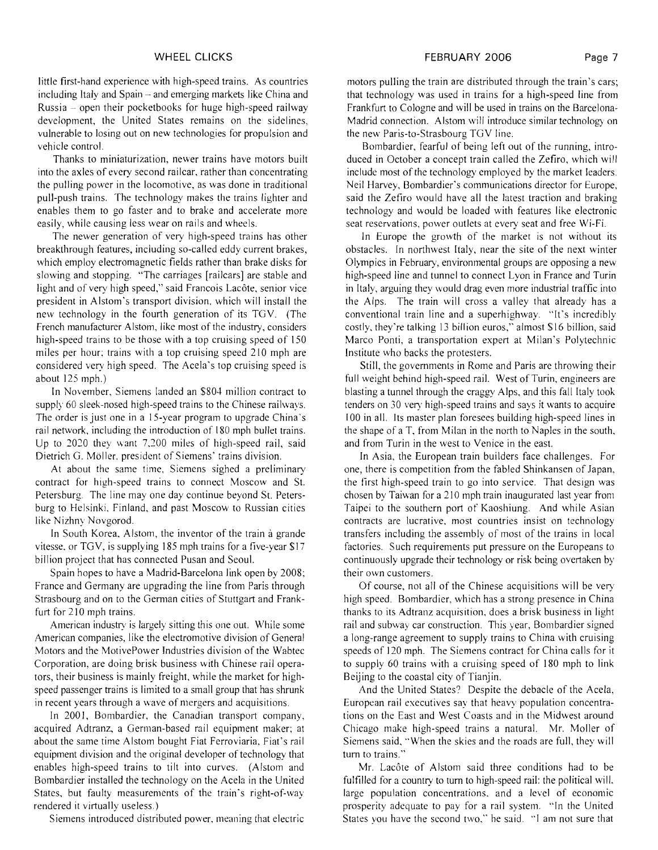little first-hand experience with high-speed trains. As countries including Italy and Spain – and emerging markets like China and Russia - open their pocketbooks for huge high-speed railway development, the United States remains on the sidelines, vulnerable to losing out on new technologies for propulsion and vehicle control.

Thanks to miniaturization, newer trains have motors built into the axles of every second railcar, rather than concentrating the pulling power in the locomotive, as was done in traditional pull-push trains. The technology makes the trains lighter and enables them to go faster and to brake and accelerate more easily, while causing less wear on rails and wheels.

The newer generation of very high-speed trains has other breakthrough features, including so-called eddy current brakes, which employ electromagnetic fields rather than brake disks for slowing and stopping. "The carriages [railcars] are stable and light and of very high speed," said Francois Lacôte, senior vice president in Alstom's transport division, which will install the new technology in the fourth generation of its TGV. (The French manufacturer Alstom, like most of the industry, considers high-speed trains to be those with a top cruising speed of 150 miles per hour; trains with a top cruising speed 210 mph are considered very high speed. The Acela's top cruising speed is about 125 mph.)

In Novernber, Siemens landed an \$803 million contract to supply 60 sleek-nosed high-speed trains to the Chinese railways. The order is just one in a 15-year program to upgrade China's rail network, including the introduction of 180 mph bullet trains. Up to 2020 they want 7,200 miles of high-speed rail, said Dietrich G. Moller, president of Siemens' trains division.

At about the same time, Siemens sighed a preliminary contract for high-speed trains to connect Moscow and St. Petersburg. The line may one day continue beyond St. Petersburg to Helsinki, Finland, and past Moscow to Russian cities like Nizhny Novgorod.

In South Korea, Alstom, the inventor of the train à grande vitesse, or TGV, is supplying 185 mph trains for a five-year \$17 billion project that has connected Pusan and Seoul.

Spain hopes to have a Madrid-Barcelona link open by 2008; France and Germany are upgrading the line from Paris through Strasbourg and on to the Gennan cities of Stuttgart and Frankfurt for 210 mph trains.

American industry is largely sitting this one out. While some American companies, like the electromotive division of General Motors and the Motivepower Industries division of the Wabtec Corporation, are doing brisk business with Chinese rail operators, their business is mainly freight. while the market for highspeed passenger trains is limited to a small group that has shrunk in recent years through a wave of mergers and acquisitions.

In 2001, Bombardier. the Canadian transport company, acquired Adtranz, a German-based rail equipment maker; at about the same time Alstom bought Fiat Ferroviaria, Fiat's rail equipment division and the original developer of technology that enables high-speed trains to tilt into curves. (Alstom and Bombardier installed the technology on the Acela in the United States, but faulty measurements of the train's right-of-way rendered it virtually useless.)

Siemens introduced distributed power, meaning that electric

motors pulling the train are distributed through the train's cars; that technology was used in trains for a high-speed line from Frankfurt to Cologne and will be used in trains on the Barcelona-Madrid connection. Alstom will introduce similar technology on the new Paris-to-Strasbourg TGV line.

Bombardier, fearful of being left out of the running, introduced in October a concept train called the Zefiro, which will include most of the technology employed by the market leaders. Neil Harvey, Bombardier's communications director for Europe. said the Zefiro would have all the latest traction and braking technology and would be loaded with features like electronic seat reservations, power outlets at every seat and free Wi-Fi.

In Europe the growth of the market is not without its obstacles. In northwest Italy, near the site of the next winter Olympics in February, environmental groups are opposing a new high-speed line and tunnel to connect Lyon in France and Turin in Italy, arguing they would drag even more industrial traffic into the Alps. The train will cross a valley that already has a conventional train line and a superhighway. "It's incredibly costly. they're talking 13 billion euros," almost \$16 billion, said Marco Ponti, a transportation expert at Milan's Polytechnic Institute who backs the protesters.

Still, the governments in Rome and Paris are throwing their full weight behind high-speed rail. West of Turin, engineers are blasting a tunnel through the craggy Alps, and this fall Italy took tenders on 30 very high-speed trains and says it wants to acquire 100 in all. Its master plan foresees building high-speed lines in the shape of a T, from Milan in the north to Naples in the south, and from Turin in the west to Venice in the east.

In Asia, the European train builders face challenges. For one, there is competition from the fabled Shinkansen of Japan, the first high-speed train to go into service. That design was chosen by Taiwan for a 210 mph train inaugurated last year from Taipei to the southern port of Kaoshiung. And while Asian contracts are lucrative. most countries insist on technology transfers including the assembly of most of the trains in local factories. Such requirements put pressure on the Europeans to continuously upgrade their technology or risk being overtaken by their own customers.

Of course, not all of the Chinese acquisitions will be very high speed. Bombardier, which has a strong presence in China thanks to its Adtranz acquisition, does a brisk business in light rail and subway car construction. This year, Bombardier signed a long-range agreement to supply trains to China with cruising speeds of 120 mph. The Siemens contract for China calls for it to supply 60 trains with a cruising speed of 180 mph to link Beijing to the coastal city of Tianjin.

And the United States? Despite the debacle of the Acela, European rail executives say that heavy population concentrations on the East and West Coasts and in the Midwest around Chicago make high-speed trains a natural. Mr. Moller of Siemens said, "When the skies and the roads are full, they will turn to trains."

Mr. Lac6te of Alstom said three conditions had to be fulfilled for a country to turn to high-speed rail: the political will, large population concentrations, and a level of economic prosperity adequate to pay for a rail system. "In the United States you have the second two," he said. "I am not sure that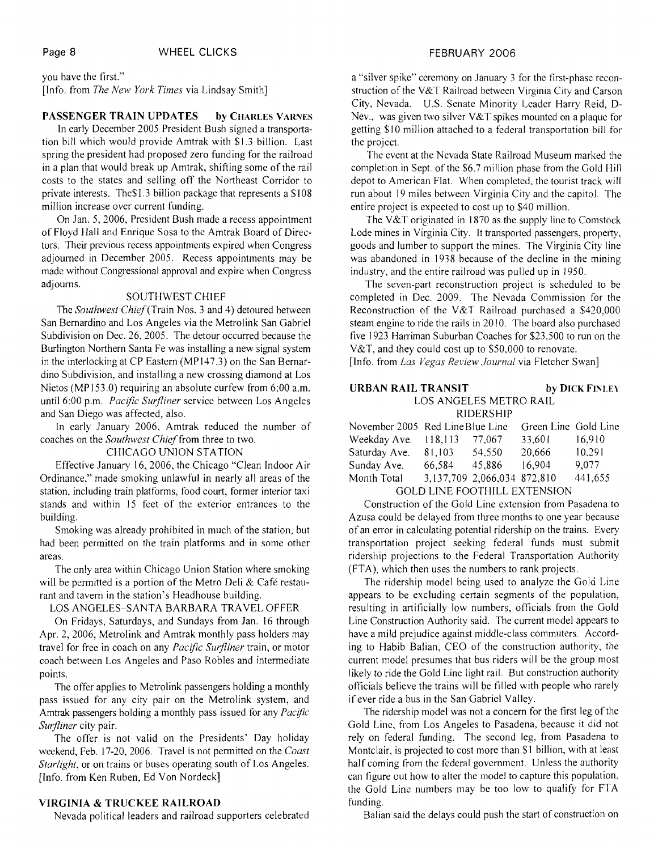you have the first."

[Info. from *The New York Times* via Lindsay Smith]

# **PASSENGER TRAIN UPDATES by CHARLES VARNES**

In early December 2005 President Bush signed a transportation bill which would provide Amtrak with \$1.3 billion. Last spring the president had proposed zero funding for the railroad in a plan that would break up Amtrak, shifting some of the rail costs to the states and selling off the Northeast Corridor to private interests. TheSl.3 billion package that represents a \$ I08 million increase over current funding.

On Jan. 5,2006, President Bush made a recess appointment of Floyd Hall and Enrique Sosa to the Amtrak Board of Directors. Their previous recess appointments expired when Congress adjourned in December 2005. Recess appointments may be made without Congressional approval and expire when Congress adjourns.

## SOUTHWEST CHIEF

The *Southwesf* Chief(Train Nos. 3 and 4) detoured between San Bernardino and Los Angeles via the Metrolink San Gabriel Subdivision on Dec. 26,2005. The detour occurred because the Burlington Northern Santa Fe was installing a new signal system in the interlocking at CP Eastern (MP147.3) on the San Bernardin0 Subdivision, and installing a new crossing diamond at Los Nietos (MP 153.0) requiring an absolute curfew from 6:00 a.m. until 6:00 p.m. *Paclfic Surfliner* service between Los Angeles and San Diego was affected, also.

In early January 2006, Amtrak reduced the number of coaches on the *Southwest Chief* from three to two.

# CHICAGO UNION STATION

Effective January 16, 2006, the Chicago "Clean Indoor Air Ordinance," made smoking unlawful in nearly all areas of the station, including train platforms, food court, former interior taxi stands and within 15 feet of the exterior entrances to the building.

Smoking was already prohibited in much of the station, but had been permitted on the train platforms and in some other areas.

The only area within Chicago Union Station where smoking will be permitted is a portion of the Metro Deli & Café restaurant and tavern in the station's Headhouse building.

# LOS ANGELES-SANTA BARBARA TRAVEL OFFER

On Fridays, Saturdays, and Sundays from Jan. 16 through Apr. 2, 2006, Metrolink and Amtrak monthly pass holders may travel for free in coach on any *Pacific Surfliner* train, or motor coach between Los Angeles and Paso Robles and intermediate points.

The offer applies to Metrolink passengers holding a monthly pass issued for any city pair on the Metrolink system, and Amtrak passengers holding a monthly pass issued for any *Paclfic Surfliner* city pair.

The offer is not valid on the Presidents' Day holiday weekend, Feb. 17-20, 2006. Travel is not permitted on the *Coast Starlight,* or on trains or buses operating south of Los Angeles. [Info. from Ken Ruben, Ed Von Nordeck]

# **VIRGINIA** & **TRUCKEE RAILROAD**

Nevada political leaders and railroad supporters celebrated

a "silver spike" ceremony on January 3 for the first-phase reconstruction of the V&T Railroad between Virginia City and Carson City, Nevada. U.S. Senate Minority Leader Harry Reid, D-Nev., was given two silver V&T spikes mounted on a plaque for getting \$10 million attached to a federal transportation bill for the project.

The event at the Nevada State Railroad Museum marked the completion in Sept. of the \$6.7 million phase from the Gold Hill depot to American Flat. When completed. the tourist track will run about 19 miles between Virginia City and the capitol. The entire project is expected to cost up to \$40 million.

The V&T originated in 1870 as the supply line to Comstock Lode mines in Virginia City. It transported passengers, property. goods and lumber to support the mines. The Virginia City line was abandoned in 1938 because of the decline in the mining industry, and the entire railroad was pulled up in 1950.

The seven-part reconstruction project is scheduled to be completed in Dec. 2009. The Nevada Commission for the Reconstruction of the V&T Railroad purchased a \$420,000 steam engine to ride the rails in 2010. The board also purchased five 1923 Harriman Suburban Coaches for \$23,500 to run on the V&T, and they could cost up to \$50,000 to renovate.

[Info. from *Las Vegas Review Journal* via Fletcher Swan]

#### **URBAN RAIL TRANSIT by DICK FINLEY** LOS ANGELES METRO RAIL RIDERSHIP

| November 2005 Red Line Blue Line    |        |                             | Green Line Gold Line |         |  |  |  |
|-------------------------------------|--------|-----------------------------|----------------------|---------|--|--|--|
| Weekday Ave. 118,113                |        | 77.067                      | 33,601               | 16,910  |  |  |  |
| Saturday Ave.                       | 81,103 | 54,550                      | 20,666               | 10,291  |  |  |  |
| Sunday Ave.                         | 66,584 | 45,886                      | 16,904               | 9.077   |  |  |  |
| Month Total                         |        | 3,137,709 2,066,034 872,810 |                      | 441,655 |  |  |  |
| <b>GOLD LINE FOOTHILL EXTENSION</b> |        |                             |                      |         |  |  |  |

Construction of the Gold Line extension from Pasadena to Azusa could be delayed from three months to one year because of an error in calculating potential ridership on the trains. Every transportation project seeking federal funds must submit ridership projections to the Federal Transportation Authority (FTA), which then uses the numbers to rank projects.

The ridership model being used to analyze the Gold Line appears to be excluding certain segments of the population, resulting in artificially low numbers, officials from the Gold Line Construction Authority said. The current model appears to have a mild prejudice against middle-class commuters. According to Habib Balian, CEO of the construction authority, the current model presumes that bus riders will be the group most likely to ride the Gold Line light rail. But construction authority officials believe the trains will be filled with people who rarely if ever ride a bus in the San Gabriel Valley.

The ridership model was not a concern for the first leg of the Gold Line, from Los Angeles to Pasadena, because it did not rely on federal funding. The second leg, from Pasadena to Montclair, is projected to cost more than \$1 billion, with at least half coming from the federal government. Unless the authority can figure out how to alter the model to capture this population, the Gold Line numbers may be too low to qualify for FTA funding.

Balian said the delays could push the start of construction on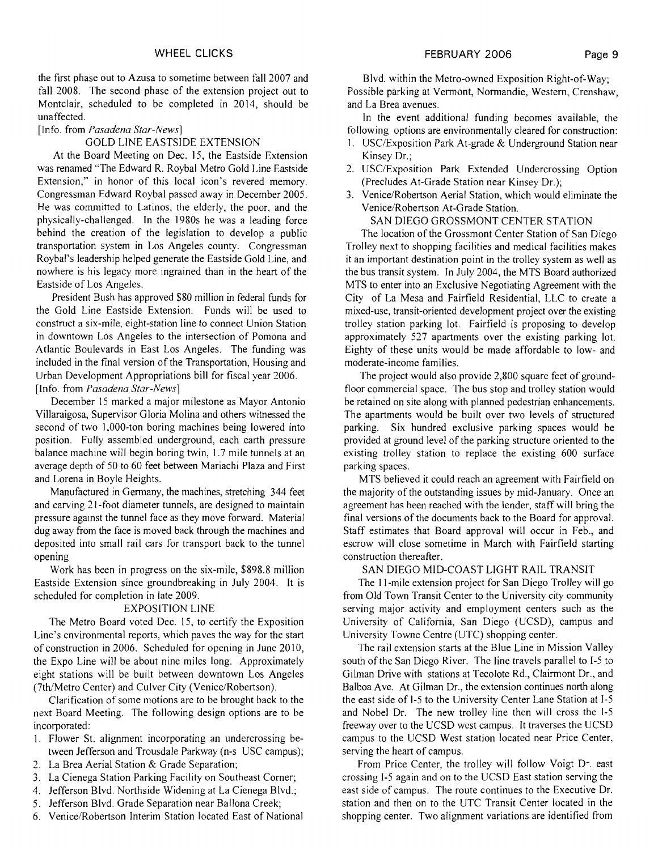the first phase out to Azusa to sometime between fall 2007 and fall 2008. The second phase of the extension project out to Montclair. scheduled to be completed in 2014, should be unaffected.

# [Info. from *Pasadena Star-News]*

#### GOLD LINE EASTSIDE EXTENSION

At the Board Meeting on Dec. 15, the Eastside Extension was renamed "The Edward R. Roybal Metro Gold Line Eastside Extension," in honor of this local icon's revered memory. Congressman Edward Roybal passed away in December 2005. He was committed to Latinos, the elderly, the poor, and the physically-challenged. In the 1980s he was a leading force behind the creation of the legislation to develop a public transportation system in Los Angeles county. Congressman Roybal's leadership helped generate the Eastside Gold Line, and nowhere is his legacy more ingrained than in the heart of the Eastside of Los Angeles.

President Bush has approved \$80 million in federal funds for the Gold Line Eastside Extension. Funds will be used to construct a six-mile, eight-station line to connect Union Station in downtown Los Angeles to the intersection of Pomona and Atlantic Boulevards in East Los Angeles. The funding was included in the final version of the Transportation, Housing and Urban Development Appropriations bill for fiscal year 2006. [Info. from *Pasadena Star-News]* 

December 15 marked a major milestone as Mayor Antonio Villaraigosa, Supervisor Gloria Molina and others witnessed the second of two 1,000-ton boring machines being lowered into position. Fully assembled underground, each earth pressure balance machine will begin boring twin, 1.7 mile tunnels at an average depth of 50 to 60 feet between Mariachi Plaza and First and Lorena in Boyle Heights.

Manufactured in Germany, the machines, stretching 344 feet and carving 2 1-foot diameter tunnels, are designed to maintain pressure against the tunnel face as they move forward. Material dug away from the face is moved back through the machines and deposited into small rail cars for transport back to the tunnel opening

Work has been in progress on the six-mile, \$898.8 million Eastside Extension since groundbreaking in July 2004. It is scheduled for completion in late 2009.

### EXPOSITION LINE

The Metro Board voted Dec. 15, to certify the Exposition Line's environmental reports, which paves the way for the start of construction in 2006. Scheduled for opening in June 2010, the Expo Line will be about nine miles long. Approximately eight stations will be built between downtown Los Angeles (7th/Metro Center) and Culver City (Venice/Robertson).

Clarification of some motions are to be brought back to the next Board Meeting. The following design options are to be incorporated:

- 1. Flower St. alignment incorporating an undercrossing between Jefferson and Trousdale Parkway (n-s USC campus);
- 2. La Brea Aerial Station & Grade Separation;
- 3. La Cienega Station Parking Facility on Southeast Comer;
- 4. Jefferson Blvd. Northside Widening at La Cienega Blvd.;
- 5. Jefferson Blvd. Grade Separation near Ballona Creek;
- 6. Venice/Robertson Interim Station located East of National

Blvd. within the Metro-owned Exposition Right-of-way; Possible parking at Vermont, Normandie, Western, Crenshaw, and La Brea avenues.

In the event additional funding becomes available, the following options are environmentally cleared for construction:

- 1. USC/Exposition Park At-grade & Underground Station near Kinsey Dr.;
- 2. USC/Exposition Park Extended Undercrossing Option (Precludes At-Grade Station near Kinsey Dr.);
- 3. Venice/Robertson Aerial Station, which would eliminate the Venice/Robertson At-Grade Station.

# SAN DIEGO GROSSMONT CENTER STATION

The location of the Grossmont Center Station of San Diego Trolley next to shopping facilities and medical facilities makes it an important destination point in the trolley system as well as the bus transit system. In July 2004, the MTS Board authorized MTS to enter into an Exclusive Negotiating Agreement with the City of La Mesa and Fairfield Residential, LLC to create a mixed-use, transit-oriented development project over the existing trolley station parking lot. Fairfield is proposing to develop approximately 527 apartments over the existing parking lot. Eighty of these units would be made affordable to low- and moderate-income families.

The project would also provide 2,800 square feet of groundfloor commercial space. The bus stop and trolley station would be retained on site along with planned pedestrian enhancements. The apartments would be built over two levels of structured parking. Six hundred exclusive parking spaces would be provided at ground level of the parking structure oriented to the existing trolley station to replace the existing 600 surface parking spaces.

MTS believed it could reach an agreement with Fairfield on the majority of the outstanding issues by mid-January. Once an agreement has been reached with the lender, staff will bring the final versions of the documents back to the Board for approval. Staff estimates that Board approval will occur in Feb., and escrow will close sometime in March with Fairfield starting construction thereafter.

#### SAN DIEGO MID-COAST LIGHT RAIL TRANSIT

The 11-mile extension project for San Diego Trolley will go from Old Town Transit Center to the University city community serving major activity and employment centers such as the University of California, San Diego (UCSD), campus and University Towne Centre (UTC) shopping center.

The rail extension starts at the Blue Line in Mission Valley south of the San Diego River. The line travels parallel to 1-5 to Gilman Drive with stations at Tecolote Rd., Clairmont Dr., and Balboa Ave. At Gilman Dr., the extension continues north along the east side of 1-5 to the University Center Lane Station at 1-5 and Nobel Dr. The new trolley line then will cross the 1-5 freeway over to the UCSD west campus. It traverses the UCSD campus to the UCSD West station located near Price Center, serving the heart of campus.

From Price Center, the trolley will follow Voigt D<sup>-</sup>. east crossing 1-5 again and on to the UCSD East station serving the east side of campus. The route continues to the Executive Dr. station and then on to the UTC Transit Center located in the shopping center. Two alignment variations are identified from